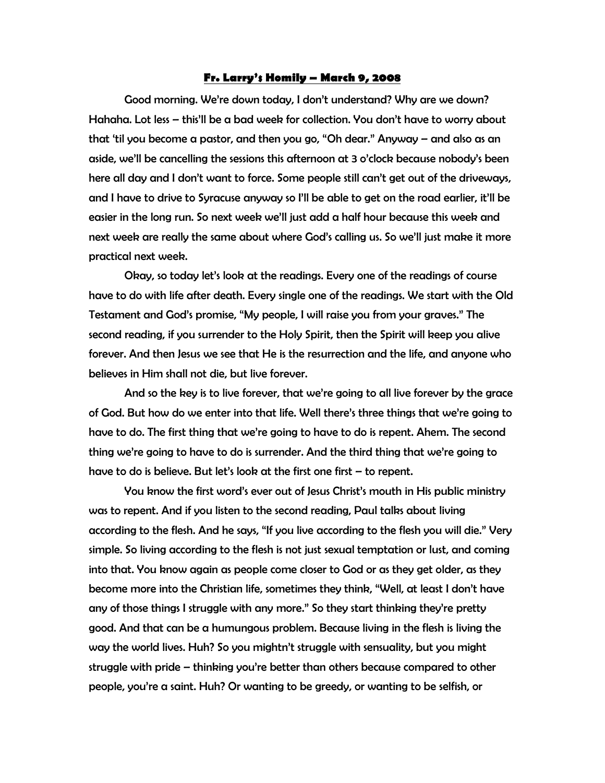## Fr. Larry's Homily – March 9, 2008

 Good morning. We're down today, I don't understand? Why are we down? Hahaha. Lot less – this'll be a bad week for collection. You don't have to worry about that 'til you become a pastor, and then you go, "Oh dear." Anyway – and also as an aside, we'll be cancelling the sessions this afternoon at 3 o'clock because nobody's been here all day and I don't want to force. Some people still can't get out of the driveways, and I have to drive to Syracuse anyway so I'll be able to get on the road earlier, it'll be easier in the long run. So next week we'll just add a half hour because this week and next week are really the same about where God's calling us. So we'll just make it more practical next week.

 Okay, so today let's look at the readings. Every one of the readings of course have to do with life after death. Every single one of the readings. We start with the Old Testament and God's promise, "My people, I will raise you from your graves." The second reading, if you surrender to the Holy Spirit, then the Spirit will keep you alive forever. And then Jesus we see that He is the resurrection and the life, and anyone who believes in Him shall not die, but live forever.

 And so the key is to live forever, that we're going to all live forever by the grace of God. But how do we enter into that life. Well there's three things that we're going to have to do. The first thing that we're going to have to do is repent. Ahem. The second thing we're going to have to do is surrender. And the third thing that we're going to have to do is believe. But let's look at the first one first – to repent.

 You know the first word's ever out of Jesus Christ's mouth in His public ministry was to repent. And if you listen to the second reading, Paul talks about living according to the flesh. And he says, "If you live according to the flesh you will die." Very simple. So living according to the flesh is not just sexual temptation or lust, and coming into that. You know again as people come closer to God or as they get older, as they become more into the Christian life, sometimes they think, "Well, at least I don't have any of those things I struggle with any more." So they start thinking they're pretty good. And that can be a humungous problem. Because living in the flesh is living the way the world lives. Huh? So you mightn't struggle with sensuality, but you might struggle with pride – thinking you're better than others because compared to other people, you're a saint. Huh? Or wanting to be greedy, or wanting to be selfish, or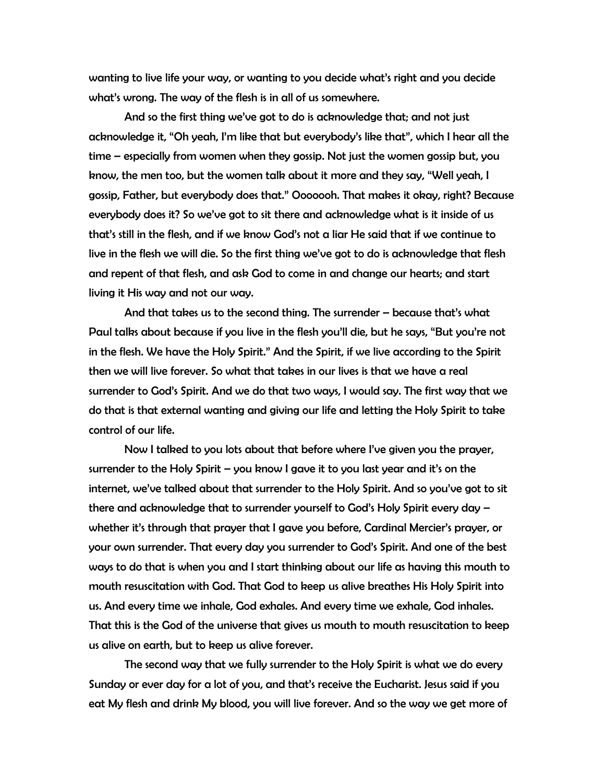wanting to live life your way, or wanting to you decide what's right and you decide what's wrong. The way of the flesh is in all of us somewhere.

And so the first thing we've got to do is acknowledge that; and not just acknowledge it, "Oh yeah, I'm like that but everybody's like that", which I hear all the time – especially from women when they gossip. Not just the women gossip but, you know, the men too, but the women talk about it more and they say, "Well yeah, I gossip, Father, but everybody does that." Ooooooh. That makes it okay, right? Because everybody does it? So we've got to sit there and acknowledge what is it inside of us that's still in the flesh, and if we know God's not a liar He said that if we continue to live in the flesh we will die. So the first thing we've got to do is acknowledge that flesh and repent of that flesh, and ask God to come in and change our hearts; and start living it His way and not our way.

And that takes us to the second thing. The surrender – because that's what Paul talks about because if you live in the flesh you'll die, but he says, "But you're not in the flesh. We have the Holy Spirit." And the Spirit, if we live according to the Spirit then we will live forever. So what that takes in our lives is that we have a real surrender to God's Spirit. And we do that two ways, I would say. The first way that we do that is that external wanting and giving our life and letting the Holy Spirit to take control of our life.

Now I talked to you lots about that before where I've given you the prayer, surrender to the Holy Spirit – you know I gave it to you last year and it's on the internet, we've talked about that surrender to the Holy Spirit. And so you've got to sit there and acknowledge that to surrender yourself to God's Holy Spirit every day – whether it's through that prayer that I gave you before, Cardinal Mercier's prayer, or your own surrender. That every day you surrender to God's Spirit. And one of the best ways to do that is when you and I start thinking about our life as having this mouth to mouth resuscitation with God. That God to keep us alive breathes His Holy Spirit into us. And every time we inhale, God exhales. And every time we exhale, God inhales. That this is the God of the universe that gives us mouth to mouth resuscitation to keep us alive on earth, but to keep us alive forever.

The second way that we fully surrender to the Holy Spirit is what we do every Sunday or ever day for a lot of you, and that's receive the Eucharist. Jesus said if you eat My flesh and drink My blood, you will live forever. And so the way we get more of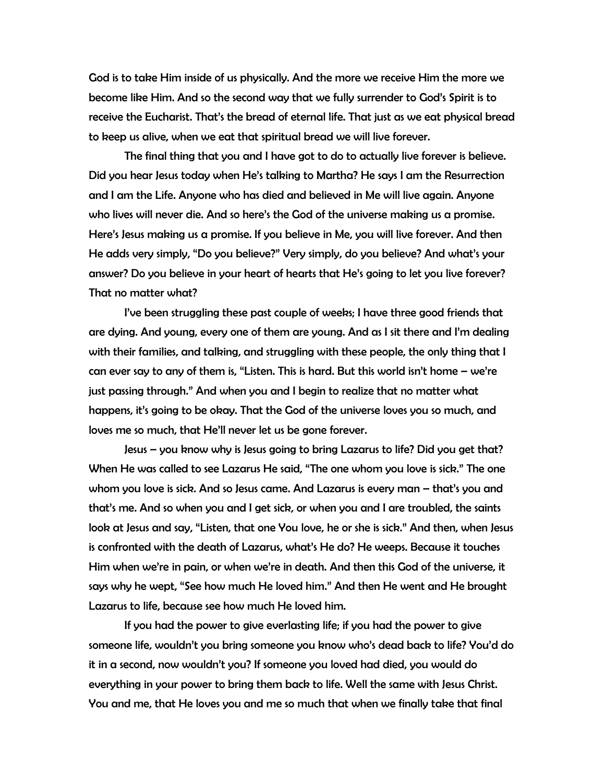God is to take Him inside of us physically. And the more we receive Him the more we become like Him. And so the second way that we fully surrender to God's Spirit is to receive the Eucharist. That's the bread of eternal life. That just as we eat physical bread to keep us alive, when we eat that spiritual bread we will live forever.

The final thing that you and I have got to do to actually live forever is believe. Did you hear Jesus today when He's talking to Martha? He says I am the Resurrection and I am the Life. Anyone who has died and believed in Me will live again. Anyone who lives will never die. And so here's the God of the universe making us a promise. Here's Jesus making us a promise. If you believe in Me, you will live forever. And then He adds very simply, "Do you believe?" Very simply, do you believe? And what's your answer? Do you believe in your heart of hearts that He's going to let you live forever? That no matter what?

I've been struggling these past couple of weeks; I have three good friends that are dying. And young, every one of them are young. And as I sit there and I'm dealing with their families, and talking, and struggling with these people, the only thing that I can ever say to any of them is, "Listen. This is hard. But this world isn't home – we're just passing through." And when you and I begin to realize that no matter what happens, it's going to be okay. That the God of the universe loves you so much, and loves me so much, that He'll never let us be gone forever.

Jesus – you know why is Jesus going to bring Lazarus to life? Did you get that? When He was called to see Lazarus He said, "The one whom you love is sick." The one whom you love is sick. And so Jesus came. And Lazarus is every man – that's you and that's me. And so when you and I get sick, or when you and I are troubled, the saints look at Jesus and say, "Listen, that one You love, he or she is sick." And then, when Jesus is confronted with the death of Lazarus, what's He do? He weeps. Because it touches Him when we're in pain, or when we're in death. And then this God of the universe, it says why he wept, "See how much He loved him." And then He went and He brought Lazarus to life, because see how much He loved him.

If you had the power to give everlasting life; if you had the power to give someone life, wouldn't you bring someone you know who's dead back to life? You'd do it in a second, now wouldn't you? If someone you loved had died, you would do everything in your power to bring them back to life. Well the same with Jesus Christ. You and me, that He loves you and me so much that when we finally take that final